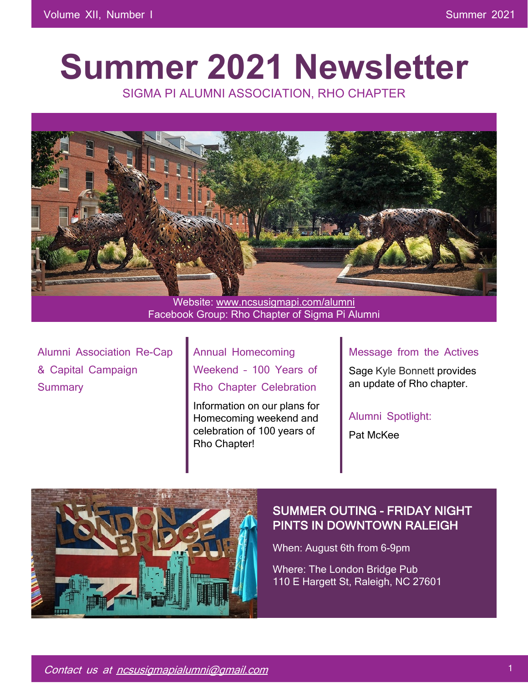# **Summer 2021 Newsletter**

SIGMA PI ALUMNI ASSOCIATION, RHO CHAPTER



Facebook Group: Rho Chapter of Sigma Pi Alumni

Alumni Association Re-Cap & Capital Campaign **Summary** 

Annual Homecoming Weekend – 100 Years of Rho Chapter Celebration

Information on our plans for Homecoming weekend and celebration of 100 years of Rho Chapter!

## Message from the Actives

Sage Kyle Bonnett provides an update of Rho chapter.

Alumni Spotlight:

Pat McKee



## SUMMER OUTING - FRIDAY NIGHT PINTS IN DOWNTOWN RALEIGH

When: August 6th from 6-9pm

Where: The London Bridge Pub 110 E Hargett St, Raleigh, NC 27601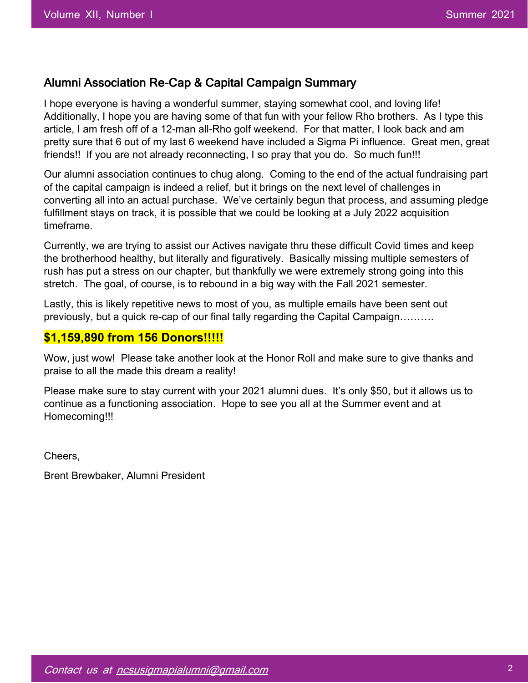## Alumni Association Re-Cap & Capital Campaign Summary

I hope everyone is having a wonderful summer, staying somewhat cool, and loving life! Additionally, I hope you are having some of that fun with your fellow Rho brothers. As I type this article, I am fresh off of a 12-man all-Rho golf weekend. For that matter, I look back and am pretty sure that 6 out of my last 6 weekend have included a Sigma Pi influence. Great men, great friends!! If you are not already reconnecting, I so pray that you do. So much fun!!!

Our alumni association continues to chug along. Coming to the end of the actual fundraising part of the capital campaign is indeed a relief, but it brings on the next level of challenges in converting all into an actual purchase. We've certainly begun that process, and assuming pledge fulfillment stays on track, it is possible that we could be looking at a July 2022 acquisition timeframe.

Currently, we are trying to assist our Actives navigate thru these difficult Covid times and keep the brotherhood healthy, but literally and figuratively. Basically missing multiple semesters of rush has put a stress on our chapter, but thankfully we were extremely strong going into this stretch. The goal, of course, is to rebound in a big way with the Fall 2021 semester.

Lastly, this is likely repetitive news to most of you, as multiple emails have been sent out previously, but a quick re-cap of our final tally regarding the Capital Campaign……….

## **\$1,159,890 from 156 Donors!!!!!**

Wow, just wow! Please take another look at the Honor Roll and make sure to give thanks and praise to all the made this dream a reality!

Please make sure to stay current with your 2021 alumni dues. It's only \$50, but it allows us to continue as a functioning association. Hope to see you all at the Summer event and at Homecoming!!!

Cheers,

Brent Brewbaker, Alumni President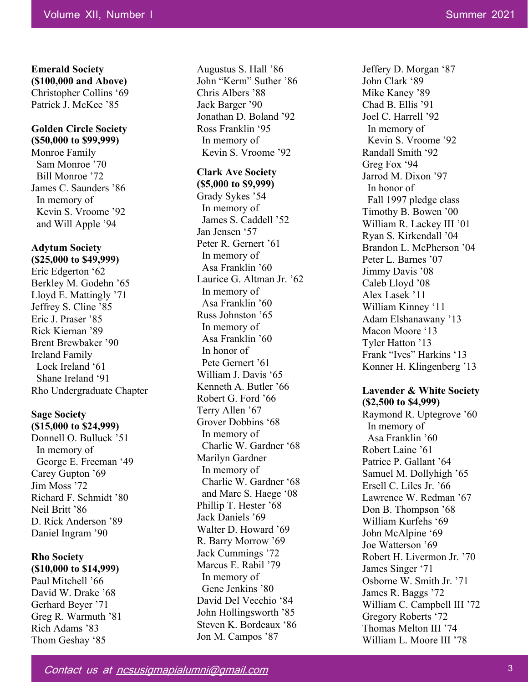**Emerald Society (\$100,000 and Above)**  Christopher Collins '69 Patrick J. McKee '85

#### **Golden Circle Society (\$50,000 to \$99,999)**

Monroe Family Sam Monroe '70 Bill Monroe '72 James C. Saunders '86 In memory of Kevin S. Vroome '92 and Will Apple '94

#### **Adytum Society (\$25,000 to \$49,999)**

Eric Edgerton '62 Berkley M. Godehn '65 Lloyd E. Mattingly '71 Jeffrey S. Cline '85 Eric J. Praser '85 Rick Kiernan '89 Brent Brewbaker '90 Ireland Family Lock Ireland '61 Shane Ireland '91 Rho Undergraduate Chapter

## **Sage Society**

**(\$15,000 to \$24,999)**  Donnell O. Bulluck '51 In memory of George E. Freeman '49 Carey Gupton '69 Jim Moss '72 Richard F. Schmidt '80 Neil Britt '86 D. Rick Anderson '89 Daniel Ingram '90

## **Rho Society (\$10,000 to \$14,999)**

Paul Mitchell '66 David W. Drake '68 Gerhard Beyer '71 Greg R. Warmuth '81 Rich Adams '83 Thom Geshay '85

Augustus S. Hall '86 John "Kerm" Suther '86 Chris Albers '88 Jack Barger '90 Jonathan D. Boland '92 Ross Franklin '95 In memory of Kevin S. Vroome '92

#### **Clark Ave Society**

**(\$5,000 to \$9,999)**  Grady Sykes '54 In memory of James S. Caddell '52 Jan Jensen '57 Peter R. Gernert '61 In memory of Asa Franklin '60 Laurice G. Altman Jr. '62 In memory of Asa Franklin '60 Russ Johnston '65 In memory of Asa Franklin '60 In honor of Pete Gernert '61 William J. Davis '65 Kenneth A. Butler '66 Robert G. Ford '66 Terry Allen '67 Grover Dobbins '68 In memory of Charlie W. Gardner '68 Marilyn Gardner In memory of Charlie W. Gardner '68 and Marc S. Haege '08 Phillip T. Hester '68 Jack Daniels '69 Walter D. Howard '69 R. Barry Morrow '69 Jack Cummings '72 Marcus E. Rabil '79 In memory of Gene Jenkins '80 David Del Vecchio '84 John Hollingsworth '85 Steven K. Bordeaux '86 Jon M. Campos '87

Jeffery D. Morgan '87 John Clark '89 Mike Kaney '89 Chad B. Ellis '91 Joel C. Harrell '92 In memory of Kevin S. Vroome '92 Randall Smith '92 Greg Fox '94 Jarrod M. Dixon '97 In honor of Fall 1997 pledge class Timothy B. Bowen '00 William R. Lackey III '01 Ryan S. Kirkendall '04 Brandon L. McPherson '04 Peter L. Barnes '07 Jimmy Davis '08 Caleb Lloyd '08 Alex Lasek '11 William Kinney '11 Adam Elshanawany '13 Macon Moore '13 Tyler Hatton '13 Frank "Ives" Harkins '13 Konner H. Klingenberg '13

#### **Lavender & White Society (\$2,500 to \$4,999)**

Raymond R. Uptegrove '60 In memory of Asa Franklin '60 Robert Laine '61 Patrice P. Gallant '64 Samuel M. Dollyhigh '65 Ersell C. Liles Jr. '66 Lawrence W. Redman '67 Don B. Thompson '68 William Kurfehs '69 John McAlpine '69 Joe Watterson '69 Robert H. Livermon Jr. '70 James Singer '71 Osborne W. Smith Jr. '71 James R. Baggs '72 William C. Campbell III '72 Gregory Roberts '72 Thomas Melton III '74 William L. Moore III '78

Contact us at ncsusigmapialumni@gmail.com 3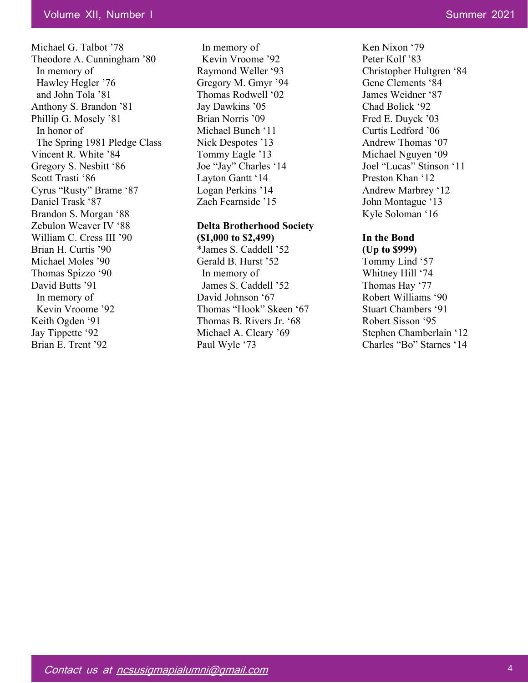Michael G. Talbot '78 Theodore A. Cunningham '80 In memory of Hawley Hegler '76 and John Tola '81 Anthony S. Brandon '81 Phillip G. Mosely '81 In honor of The Spring 1981 Pledge Class Vincent R. White '84 Gregory S. Nesbitt '86 Scott Trasti '86 Cyrus "Rusty" Brame '87 Daniel Trask '87 Brandon S. Morgan '88 Zebulon Weaver IV '88 William C. Cress III '90 Brian H. Curtis '90 Michael Moles '90 Thomas Spizzo '90 David Butts '91 In memory of Kevin Vroome '92 Keith Ogden '91 Jay Tippette '92 Brian E. Trent '92

 In memory of Kevin Vroome '92 Raymond Weller '93 Gregory M. Gmyr '94 Thomas Rodwell '02 Jay Dawkins '05 Brian Norris '09 Michael Bunch '11 Nick Despotes '13 Tommy Eagle '13 Joe "Jay" Charles '14 Layton Gantt '14 Logan Perkins '14 Zach Fearnside '15

#### **Delta Brotherhood Society**

**(\$1,000 to \$2,499)** \*James S. Caddell '52 Gerald B. Hurst '52 In memory of James S. Caddell '52 David Johnson '67 Thomas "Hook" Skeen '67 Thomas B. Rivers Jr. '68 Michael A. Cleary '69 Paul Wyle '73

Ken Nixon '79 Peter Kolf '83 Christopher Hultgren '84 Gene Clements '84 James Weidner '87 Chad Bolick '92 Fred E. Duyck '03 Curtis Ledford '06 Andrew Thomas '07 Michael Nguyen '09 Joel "Lucas" Stinson '11 Preston Khan '12 Andrew Marbrey '12 John Montague '13 Kyle Soloman '16

## **In the Bond**

**(Up to \$999)** Tommy Lind '57 Whitney Hill '74 Thomas Hay '77 Robert Williams '90 Stuart Chambers '91 Robert Sisson '95 Stephen Chamberlain '12 Charles "Bo" Starnes '14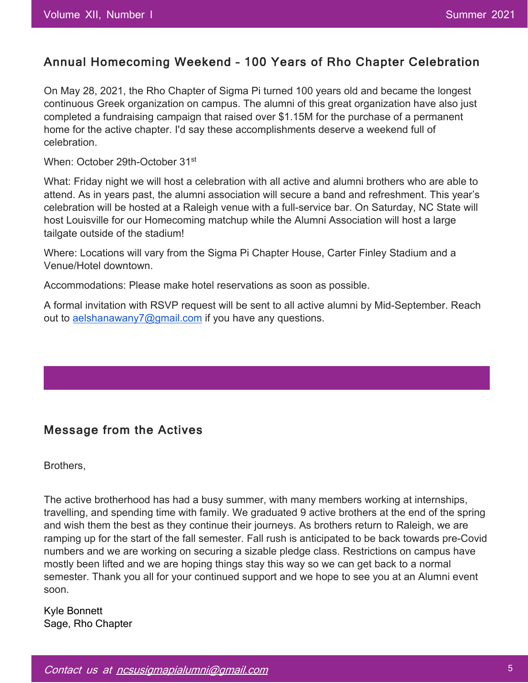## Annual Homecoming Weekend – 100 Years of Rho Chapter Celebration

On May 28, 2021, the Rho Chapter of Sigma Pi turned 100 years old and became the longest continuous Greek organization on campus. The alumni of this great organization have also just completed a fundraising campaign that raised over \$1.15M for the purchase of a permanent home for the active chapter. I'd say these accomplishments deserve a weekend full of celebration.

When: October 29th-October 31<sup>st</sup>

What: Friday night we will host a celebration with all active and alumni brothers who are able to attend. As in years past, the alumni association will secure a band and refreshment. This year's celebration will be hosted at a Raleigh venue with a full-service bar. On Saturday, NC State will host Louisville for our Homecoming matchup while the Alumni Association will host a large tailgate outside of the stadium!

Where: Locations will vary from the Sigma Pi Chapter House, Carter Finley Stadium and a Venue/Hotel downtown.

Accommodations: Please make hotel reservations as soon as possible.

A formal invitation with RSVP request will be sent to all active alumni by Mid-September. Reach out to aelshanawany7@gmail.com if you have any questions.

## Message from the Actives

Brothers,

The active brotherhood has had a busy summer, with many members working at internships, travelling, and spending time with family. We graduated 9 active brothers at the end of the spring and wish them the best as they continue their journeys. As brothers return to Raleigh, we are ramping up for the start of the fall semester. Fall rush is anticipated to be back towards pre-Covid numbers and we are working on securing a sizable pledge class. Restrictions on campus have mostly been lifted and we are hoping things stay this way so we can get back to a normal semester. Thank you all for your continued support and we hope to see you at an Alumni event soon.

Kyle Bonnett Sage, Rho Chapter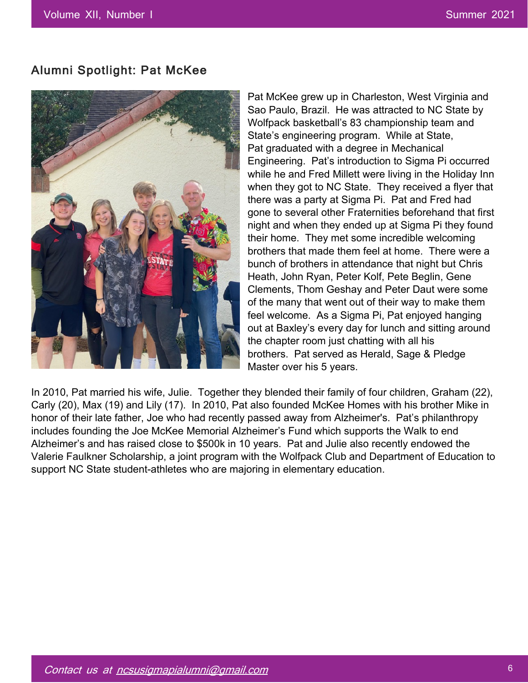## Alumni Spotlight: Pat McKee



Pat McKee grew up in Charleston, West Virginia and Sao Paulo, Brazil. He was attracted to NC State by Wolfpack basketball's 83 championship team and State's engineering program. While at State, Pat graduated with a degree in Mechanical Engineering. Pat's introduction to Sigma Pi occurred while he and Fred Millett were living in the Holiday Inn when they got to NC State. They received a flyer that there was a party at Sigma Pi. Pat and Fred had gone to several other Fraternities beforehand that first night and when they ended up at Sigma Pi they found their home. They met some incredible welcoming brothers that made them feel at home. There were a bunch of brothers in attendance that night but Chris Heath, John Ryan, Peter Kolf, Pete Beglin, Gene Clements, Thom Geshay and Peter Daut were some of the many that went out of their way to make them feel welcome. As a Sigma Pi, Pat enjoyed hanging out at Baxley's every day for lunch and sitting around the chapter room just chatting with all his brothers. Pat served as Herald, Sage & Pledge Master over his 5 years.

In 2010, Pat married his wife, Julie. Together they blended their family of four children, Graham (22), Carly (20), Max (19) and Lily (17). In 2010, Pat also founded McKee Homes with his brother Mike in honor of their late father, Joe who had recently passed away from Alzheimer's. Pat's philanthropy includes founding the Joe McKee Memorial Alzheimer's Fund which supports the Walk to end Alzheimer's and has raised close to \$500k in 10 years. Pat and Julie also recently endowed the Valerie Faulkner Scholarship, a joint program with the Wolfpack Club and Department of Education to support NC State student-athletes who are majoring in elementary education.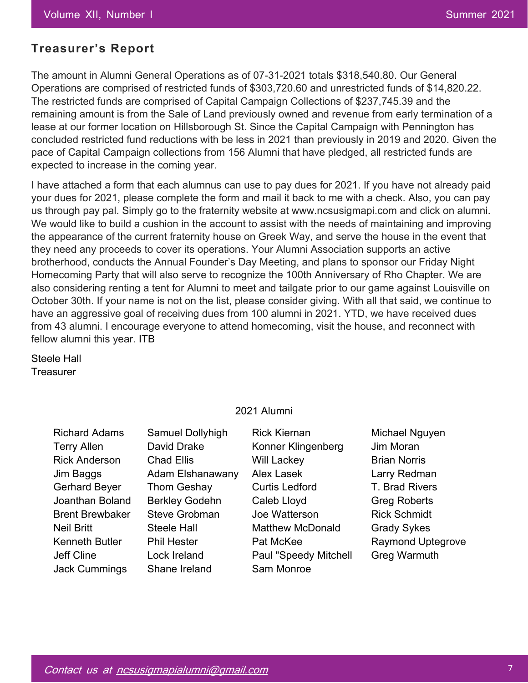## **Treasurer's Report**

The amount in Alumni General Operations as of 07-31-2021 totals \$318,540.80. Our General Operations are comprised of restricted funds of \$303,720.60 and unrestricted funds of \$14,820.22. The restricted funds are comprised of Capital Campaign Collections of \$237,745.39 and the remaining amount is from the Sale of Land previously owned and revenue from early termination of a lease at our former location on Hillsborough St. Since the Capital Campaign with Pennington has concluded restricted fund reductions with be less in 2021 than previously in 2019 and 2020. Given the pace of Capital Campaign collections from 156 Alumni that have pledged, all restricted funds are expected to increase in the coming year.

I have attached a form that each alumnus can use to pay dues for 2021. If you have not already paid your dues for 2021, please complete the form and mail it back to me with a check. Also, you can pay us through pay pal. Simply go to the fraternity website at www.ncsusigmapi.com and click on alumni. We would like to build a cushion in the account to assist with the needs of maintaining and improving the appearance of the current fraternity house on Greek Way, and serve the house in the event that they need any proceeds to cover its operations. Your Alumni Association supports an active brotherhood, conducts the Annual Founder's Day Meeting, and plans to sponsor our Friday Night Homecoming Party that will also serve to recognize the 100th Anniversary of Rho Chapter. We are also considering renting a tent for Alumni to meet and tailgate prior to our game against Louisville on October 30th. If your name is not on the list, please consider giving. With all that said, we continue to have an aggressive goal of receiving dues from 100 alumni in 2021. YTD, we have received dues from 43 alumni. I encourage everyone to attend homecoming, visit the house, and reconnect with fellow alumni this year. ITB

Steele Hall **Treasurer** 

#### 2021 Alumni